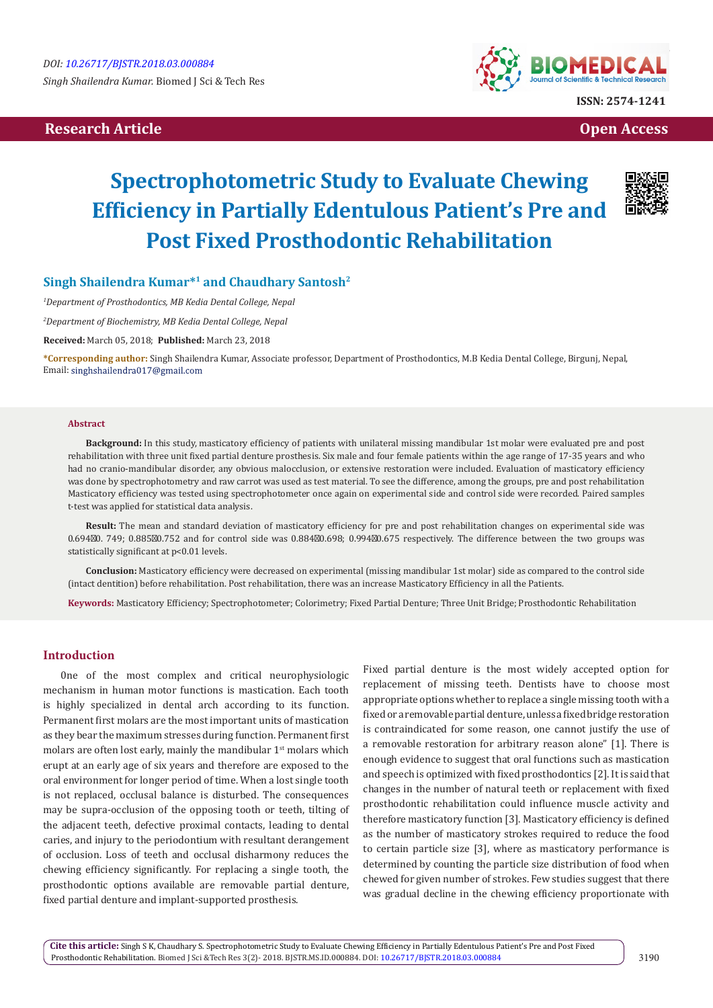# **Proposed Article Contract Article Contract Article Contract Article Contract Article Contract Article Contract Article Contract Article Contract Article Contract Article Contract Article Contract Article Contract Article**



# **Spectrophotometric Study to Evaluate Chewing Efficiency in Partially Edentulous Patient's Pre and Post Fixed Prosthodontic Rehabilitation**



# **Singh Shailendra Kumar\*1 and Chaudhary Santosh<sup>2</sup>**

*1 Department of Prosthodontics, MB Kedia Dental College, Nepal*

*2 Department of Biochemistry, MB Kedia Dental College, Nepal*

**Received:** March 05, 2018; **Published:** March 23, 2018

**\*Corresponding author:** Singh Shailendra Kumar, Associate professor, Department of Prosthodontics, M.B Kedia Dental College, Birgunj, Nepal, Email: singhshailendra017@gmail.com

#### **Abstract**

**Background:** In this study, masticatory efficiency of patients with unilateral missing mandibular 1st molar were evaluated pre and post rehabilitation with three unit fixed partial denture prosthesis. Six male and four female patients within the age range of 17-35 years and who had no cranio-mandibular disorder, any obvious malocclusion, or extensive restoration were included. Evaluation of masticatory efficiency was done by spectrophotometry and raw carrot was used as test material. To see the difference, among the groups, pre and post rehabilitation Masticatory efficiency was tested using spectrophotometer once again on experimental side and control side were recorded. Paired samples t-test was applied for statistical data analysis.

**Result:** The mean and standard deviation of masticatory efficiency for pre and post rehabilitation changes on experimental side was 0.694 0. 749; 0.885 0.752 and for control side was 0.884 0.698; 0.994 0.675 respectively. The difference between the two groups was statistically significant at p<0.01 levels.

**Conclusion:** Masticatory efficiency were decreased on experimental (missing mandibular 1st molar) side as compared to the control side (intact dentition) before rehabilitation. Post rehabilitation, there was an increase Masticatory Efficiency in all the Patients.

**Keywords:** Masticatory Efficiency; Spectrophotometer; Colorimetry; Fixed Partial Denture; Three Unit Bridge; Prosthodontic Rehabilitation

# **Introduction**

0ne of the most complex and critical neurophysiologic mechanism in human motor functions is mastication. Each tooth is highly specialized in dental arch according to its function. Permanent first molars are the most important units of mastication as they bear the maximum stresses during function. Permanent first molars are often lost early, mainly the mandibular 1<sup>st</sup> molars which erupt at an early age of six years and therefore are exposed to the oral environment for longer period of time. When a lost single tooth is not replaced, occlusal balance is disturbed. The consequences may be supra-occlusion of the opposing tooth or teeth, tilting of the adjacent teeth, defective proximal contacts, leading to dental caries, and injury to the periodontium with resultant derangement of occlusion. Loss of teeth and occlusal disharmony reduces the chewing efficiency significantly. For replacing a single tooth, the prosthodontic options available are removable partial denture, fixed partial denture and implant-supported prosthesis.

Fixed partial denture is the most widely accepted option for replacement of missing teeth. Dentists have to choose most appropriate options whether to replace a single missing tooth with a fixed or a removable partial denture, unless a fixed bridge restoration is contraindicated for some reason, one cannot justify the use of a removable restoration for arbitrary reason alone" [1]. There is enough evidence to suggest that oral functions such as mastication and speech is optimized with fixed prosthodontics [2]. It is said that changes in the number of natural teeth or replacement with fixed prosthodontic rehabilitation could influence muscle activity and therefore masticatory function [3]. Masticatory efficiency is defined as the number of masticatory strokes required to reduce the food to certain particle size [3], where as masticatory performance is determined by counting the particle size distribution of food when chewed for given number of strokes. Few studies suggest that there was gradual decline in the chewing efficiency proportionate with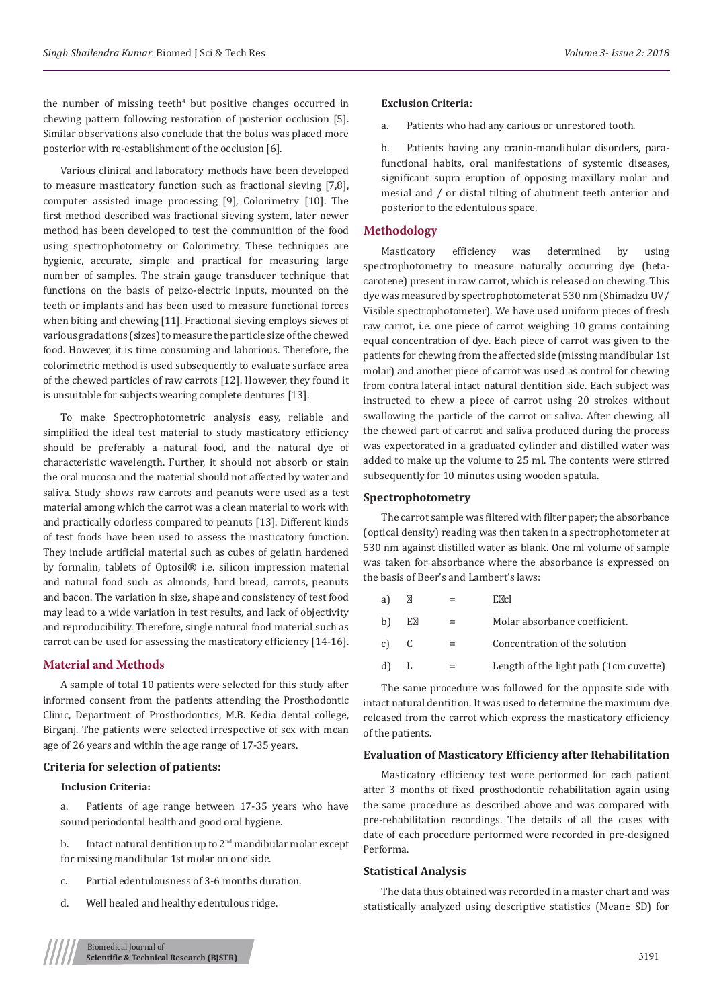the number of missing teeth<sup>4</sup> but positive changes occurred in chewing pattern following restoration of posterior occlusion [5]. Similar observations also conclude that the bolus was placed more posterior with re-establishment of the occlusion [6].

Various clinical and laboratory methods have been developed to measure masticatory function such as fractional sieving [7,8], computer assisted image processing [9], Colorimetry [10]. The first method described was fractional sieving system, later newer method has been developed to test the communition of the food using spectrophotometry or Colorimetry. These techniques are hygienic, accurate, simple and practical for measuring large number of samples. The strain gauge transducer technique that functions on the basis of peizo-electric inputs, mounted on the teeth or implants and has been used to measure functional forces when biting and chewing [11]. Fractional sieving employs sieves of various gradations (sizes) to measure the particle size of the chewed food. However, it is time consuming and laborious. Therefore, the colorimetric method is used subsequently to evaluate surface area of the chewed particles of raw carrots [12]. However, they found it is unsuitable for subjects wearing complete dentures [13].

To make Spectrophotometric analysis easy, reliable and simplified the ideal test material to study masticatory efficiency should be preferably a natural food, and the natural dye of characteristic wavelength. Further, it should not absorb or stain the oral mucosa and the material should not affected by water and saliva. Study shows raw carrots and peanuts were used as a test material among which the carrot was a clean material to work with and practically odorless compared to peanuts [13]. Different kinds of test foods have been used to assess the masticatory function. They include artificial material such as cubes of gelatin hardened by formalin, tablets of Optosil® i.e. silicon impression material and natural food such as almonds, hard bread, carrots, peanuts and bacon. The variation in size, shape and consistency of test food may lead to a wide variation in test results, and lack of objectivity and reproducibility. Therefore, single natural food material such as carrot can be used for assessing the masticatory efficiency [14-16].

## **Material and Methods**

A sample of total 10 patients were selected for this study after informed consent from the patients attending the Prosthodontic Clinic, Department of Prosthodontics, M.B. Kedia dental college, Birganj. The patients were selected irrespective of sex with mean age of 26 years and within the age range of 17-35 years.

# **Criteria for selection of patients:**

#### **Inclusion Criteria:**

a. Patients of age range between 17-35 years who have sound periodontal health and good oral hygiene.

b. Intact natural dentition up to  $2<sup>nd</sup>$  mandibular molar except for missing mandibular 1st molar on one side.

- c. Partial edentulousness of 3-6 months duration.
- d. Well healed and healthy edentulous ridge.

#### **Exclusion Criteria:**

a. Patients who had any carious or unrestored tooth.

b. Patients having any cranio-mandibular disorders, parafunctional habits, oral manifestations of systemic diseases, significant supra eruption of opposing maxillary molar and mesial and / or distal tilting of abutment teeth anterior and posterior to the edentulous space.

#### **Methodology**

Masticatory efficiency was determined by using spectrophotometry to measure naturally occurring dye (betacarotene) present in raw carrot, which is released on chewing. This dye was measured by spectrophotometer at 530 nm (Shimadzu UV/ Visible spectrophotometer). We have used uniform pieces of fresh raw carrot, i.e. one piece of carrot weighing 10 grams containing equal concentration of dye. Each piece of carrot was given to the patients for chewing from the affected side (missing mandibular 1st molar) and another piece of carrot was used as control for chewing from contra lateral intact natural dentition side. Each subject was instructed to chew a piece of carrot using 20 strokes without swallowing the particle of the carrot or saliva. After chewing, all the chewed part of carrot and saliva produced during the process was expectorated in a graduated cylinder and distilled water was added to make up the volume to 25 ml. The contents were stirred subsequently for 10 minutes using wooden spatula.

#### **Spectrophotometry**

The carrot sample was filtered with filter paper; the absorbance (optical density) reading was then taken in a spectrophotometer at 530 nm against distilled water as blank. One ml volume of sample was taken for absorbance where the absorbance is expressed on the basis of Beer's and Lambert's laws:

|    |   | E cl                                   |
|----|---|----------------------------------------|
| b  | Е | Molar absorbance coefficient.          |
| c) | C | Concentration of the solution          |
| d) | L | Length of the light path (1cm cuvette) |
|    |   |                                        |

The same procedure was followed for the opposite side with intact natural dentition. It was used to determine the maximum dye released from the carrot which express the masticatory efficiency of the patients.

#### **Evaluation of Masticatory Efficiency after Rehabilitation**

Masticatory efficiency test were performed for each patient after 3 months of fixed prosthodontic rehabilitation again using the same procedure as described above and was compared with pre-rehabilitation recordings. The details of all the cases with date of each procedure performed were recorded in pre-designed Performa.

# **Statistical Analysis**

The data thus obtained was recorded in a master chart and was statistically analyzed using descriptive statistics (Mean± SD) for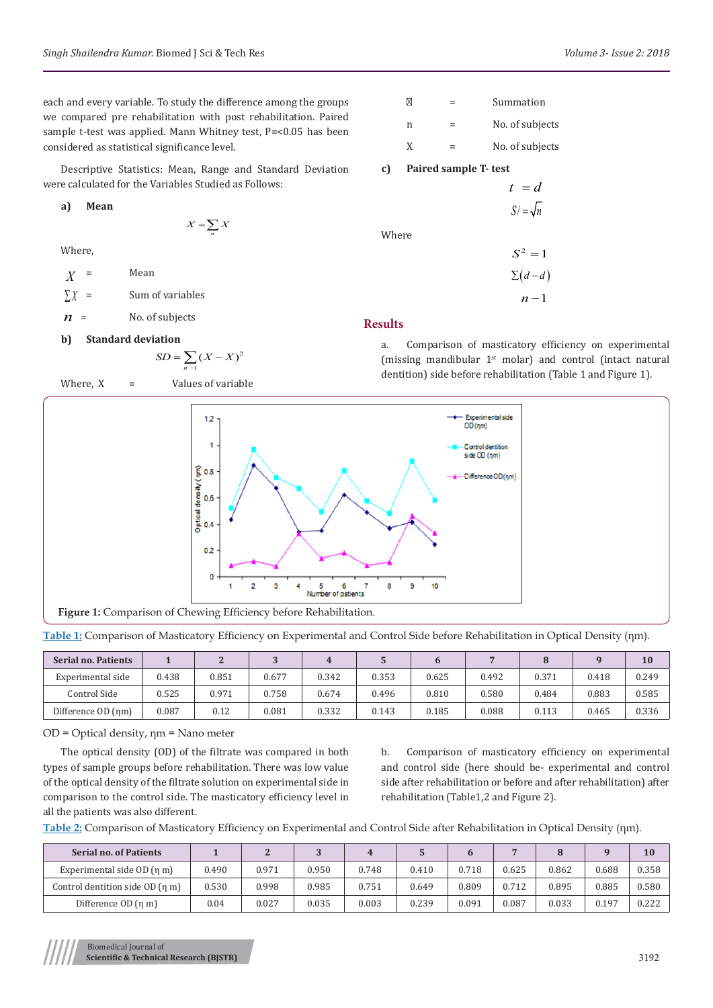each and every variable. To study the difference among the groups we compared pre rehabilitation with post rehabilitation. Paired sample t-test was applied. Mann Whitney test, P=<0.05 has been considered as statistical significance level.

Descriptive Statistics: Mean, Range and Standard Deviation were calculated for the Variables Studied as Follows:

**a) Mean**

 $X = \sum_{n} X$ 

Where,

 $X =$  Mean  $\sum X$  = Sum of variables  $n =$  No. of subjects

# **b) Standard deviation**

$$
SD = \sum_{n=1}^{ } (X - X)^2
$$

Where,  $X =$  Values of variable



## **Results**

a. Comparison of masticatory efficiency on experimental (missing mandibular 1st molar) and control (intact natural dentition) side before rehabilitation (Table 1 and Figure 1).



**Table 1:** Comparison of Masticatory Efficiency on Experimental and Control Side before Rehabilitation in Optical Density (ηm).

| Serial no. Patients |       |       |            |       |       |       |       |       |       | 10    |
|---------------------|-------|-------|------------|-------|-------|-------|-------|-------|-------|-------|
| Experimental side   | 0.438 | 0.851 | 0.677      | 0.342 | 0.353 | 0.625 | 0.492 | 0.371 | 0.418 | 0.249 |
| Control Side        | 0.525 | 0.971 | 0.758      | 0.674 | 0.496 | 0.810 | 0.580 | 0.484 | 0.883 | 0.585 |
| Difference OD (nm)  | 0.087 | 0.12  | $_{0.081}$ | 0.332 | 0.143 | 0.185 | 0.088 | 0.113 | 0.465 | 0.336 |

OD = Optical density, ηm = Nano meter

The optical density (OD) of the filtrate was compared in both types of sample groups before rehabilitation. There was low value of the optical density of the filtrate solution on experimental side in comparison to the control side. The masticatory efficiency level in all the patients was also different.

b. Comparison of masticatory efficiency on experimental and control side (here should be- experimental and control side after rehabilitation or before and after rehabilitation) after rehabilitation (Table1,2 and Figure 2).

**Table 2:** Comparison of Masticatory Efficiency on Experimental and Control Side after Rehabilitation in Optical Density (ηm).

| <b>Serial no. of Patients</b>   |       |       |       |       |       |       |       |       |       | 10    |
|---------------------------------|-------|-------|-------|-------|-------|-------|-------|-------|-------|-------|
| Experimental side $OD(n m)$     | 0.490 | 0.971 | 0.950 | 0.748 | 0.410 | 0.718 | 0.625 | 0.862 | 0.688 | 0.358 |
| Control dentition side OD (n m) | 0.530 | 0.998 | 0.985 | 0.751 | 0.649 | 0.809 | 0.712 | 0.895 | 0.885 | 0.580 |
| Difference OD (n m)             | 0.04  | 0.027 | 0.035 | 0.003 | 0.239 | 0.091 | 0.087 | 0.033 | 0.197 | 0.222 |

Biomedical Journal of **Scientific & Technical Research (BJSTR)** 3192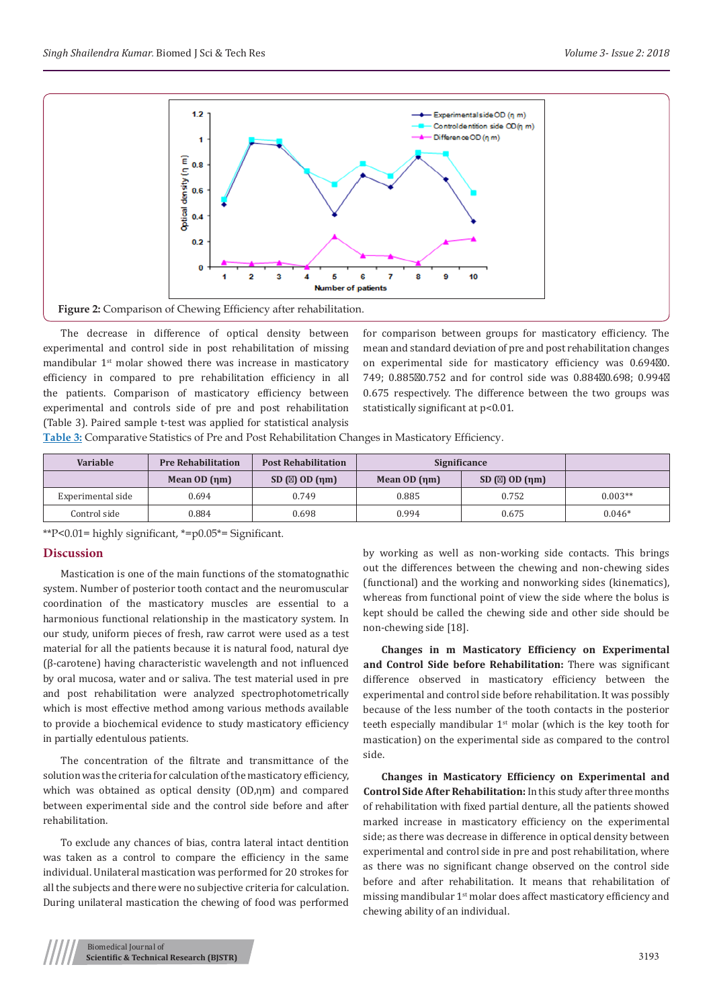

The decrease in difference of optical density between experimental and control side in post rehabilitation of missing mandibular 1st molar showed there was increase in masticatory efficiency in compared to pre rehabilitation efficiency in all the patients. Comparison of masticatory efficiency between experimental and controls side of pre and post rehabilitation (Table 3). Paired sample t-test was applied for statistical analysis

for comparison between groups for masticatory efficiency. The mean and standard deviation of pre and post rehabilitation changes on experimental side for masticatory efficiency was 0.694 0. 749; 0.885 0.752 and for control side was 0.884 0.698; 0.994 0.675 respectively. The difference between the two groups was statistically significant at p<0.01.

**Table 3:** Comparative Statistics of Pre and Post Rehabilitation Changes in Masticatory Efficiency.

| <b>Variable</b>   | <b>Pre Rehabilitation</b> | <b>Post Rehabilitation</b> | Significance |             |           |
|-------------------|---------------------------|----------------------------|--------------|-------------|-----------|
|                   | Mean $OD$ $(nm)$          | SD( )OD(mm)                | Mean OD (nm) | SD( )OD(mm) |           |
| Experimental side | 0.694                     | 0.749                      | 0.885        | 0.752       | $0.003**$ |
| Control side      | 0.884                     | 0.698                      | 0.994        | 0.675       | $0.046*$  |

\*\*P<0.01= highly significant, \*=p0.05\*= Significant.

#### **Discussion**

Mastication is one of the main functions of the stomatognathic system. Number of posterior tooth contact and the neuromuscular coordination of the masticatory muscles are essential to a harmonious functional relationship in the masticatory system. In our study, uniform pieces of fresh, raw carrot were used as a test material for all the patients because it is natural food, natural dye (β-carotene) having characteristic wavelength and not influenced by oral mucosa, water and or saliva. The test material used in pre and post rehabilitation were analyzed spectrophotometrically which is most effective method among various methods available to provide a biochemical evidence to study masticatory efficiency in partially edentulous patients.

The concentration of the filtrate and transmittance of the solution was the criteria for calculation of the masticatory efficiency, which was obtained as optical density (OD,ηm) and compared between experimental side and the control side before and after rehabilitation.

To exclude any chances of bias, contra lateral intact dentition was taken as a control to compare the efficiency in the same individual. Unilateral mastication was performed for 20 strokes for all the subjects and there were no subjective criteria for calculation. During unilateral mastication the chewing of food was performed

by working as well as non-working side contacts. This brings out the differences between the chewing and non-chewing sides (functional) and the working and nonworking sides (kinematics), whereas from functional point of view the side where the bolus is kept should be called the chewing side and other side should be non-chewing side [18].

**Changes in m Masticatory Efficiency on Experimental and Control Side before Rehabilitation:** There was significant difference observed in masticatory efficiency between the experimental and control side before rehabilitation. It was possibly because of the less number of the tooth contacts in the posterior teeth especially mandibular  $1<sup>st</sup>$  molar (which is the key tooth for mastication) on the experimental side as compared to the control side.

**Changes in Masticatory Efficiency on Experimental and Control Side After Rehabilitation:** In this study after three months of rehabilitation with fixed partial denture, all the patients showed marked increase in masticatory efficiency on the experimental side; as there was decrease in difference in optical density between experimental and control side in pre and post rehabilitation, where as there was no significant change observed on the control side before and after rehabilitation. It means that rehabilitation of missing mandibular 1st molar does affect masticatory efficiency and chewing ability of an individual.